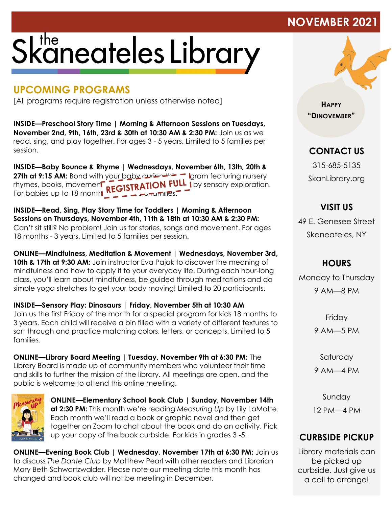## Skaneateles Library

## **UPCOMING PROGRAMS**

[All programs require registration unless otherwise noted]

**INSIDE—Preschool Story Time | Morning & Afternoon Sessions on Tuesdays, November 2nd, 9th, 16th, 23rd & 30th at 10:30 AM & 2:30 PM:** Join us as we read, sing, and play together. For ages 3 - 5 years. Limited to 5 families per session.

**INSIDE—Baby Bounce & Rhyme | Wednesdays, November 6th, 13th, 20th & 27th at 9:15 AM:** Bond with your baby during the program featuring nursery rhymes, books, movement and fingerplays, followed by sensory exploration. For babies up to 18 month  $\sum_{i=1}^{\infty}$   $\sum_{i=1}^{\infty}$  families.

**INSIDE—Read, Sing, Play Story Time for Toddlers | Morning & Afternoon Sessions on Thursdays, November 4th, 11th & 18th at 10:30 AM & 2:30 PM:** Can't sit still? No problem! Join us for stories, songs and movement. For ages 18 months - 3 years. Limited to 5 families per session.

**ONLINE—Mindfulness, Meditation & Movement | Wednesdays, November 3rd, 10th & 17th at 9:30 AM:** Join instructor Eva Pajak to discover the meaning of mindfulness and how to apply it to your everyday life. During each hour-long class, you'll learn about mindfulness, be guided through meditations and do simple yoga stretches to get your body moving! Limited to 20 participants.

**INSIDE—Sensory Play: Dinosaurs | Friday, November 5th at 10:30 AM** Join us the first Friday of the month for a special program for kids 18 months to 3 years. Each child will receive a bin filled with a variety of different textures to sort through and practice matching colors, letters, or concepts. Limited to 5 families.

**ONLINE—Library Board Meeting | Tuesday, November 9th at 6:30 PM:** The Library Board is made up of community members who volunteer their time and skills to further the mission of the library. All meetings are open, and the public is welcome to attend this online meeting.



**ONLINE—Elementary School Book Club | Sunday, November 14th at 2:30 PM:** This month we're reading *Measuring Up* by Lily LaMotte. Each month we'll read a book or graphic novel and then get together on Zoom to chat about the book and do an activity. Pick up your copy of the book curbside. For kids in grades 3 -5.

**ONLINE—Evening Book Club | Wednesday, November 17th at 6:30 PM:** Join us to discuss *The Dante Club* by Matthew Pearl with other readers and Librarian Mary Beth Schwartzwalder. Please note our meeting date this month has changed and book club will not be meeting in December.



**HAPPY "DINOVEMBER"**

**NOVEMBER 202** 

**CONTACT US**

315-685-5135 SkanLibrary.org

**VISIT US** 49 E. Genesee Street Skaneateles, NY

**HOURS**

Monday to Thursday 9 AM—8 PM

> **Friday** 9 AM—5 PM

Saturday 9 AM—4 PM

Sunday 12 PM—4 PM

## **CURBSIDE PICKUP**

Library materials can be picked up curbside. Just give us a call to arrange!